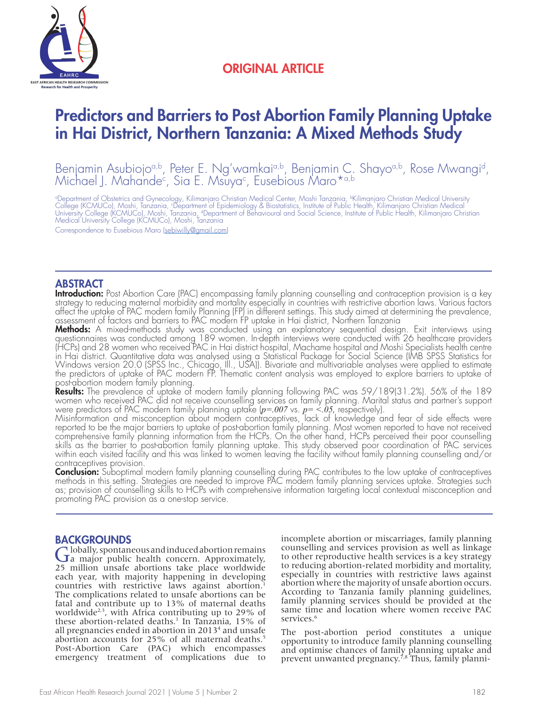

# ORIGINAL ARTICLE

# Predictors and Barriers to Post Abortion Family Planning Uptake in Hai District, Northern Tanzania: A Mixed Methods Study

Benjamin Asubiojo<sup>a,b</sup>, Peter E. Ng'wamkai<sup>a,b</sup>, Benjamin C. Shayo<sup>a,b</sup>, Rose Mwangi<sup>d</sup>, Michael J. Mahande<sup>c</sup>, Sia E. Msuya<sup>c</sup>, Eusebious Maro\*<sup>a,b</sup>

°Department of Obstetrics and Gynecology, Kilimanjaro Christian Medical Center, Moshi Tanzania, <sup>b</sup>Kilimanjaro Christian Medical University<br>College (KCMUCo), Moshi, Tanzania, °Department of Epidemiology & Biostatistics, In Medical University College (KCMUCo), Moshi, Tanzania

Correspondence to Eusebious Maro (sebiwilly@gmail.com)

### ABSTRACT

**Introduction:** Post Abortion Care (PAC) encompassing family planning counselling and contraception provision is a key strategy to reducing maternal morbidity and mortality especially in countries with restrictive abortion laws. Various factors affect the uptake of PAC modern family Planning (FP) in different settings. This study aimed at determining the prevalence, assessment of factors and barriers to PAC modern FP uptake in Hai district, Northern Tanzania

**Methods:** A mixed-methods study was conducted using an explanatory sequential design. Exit interviews using questionnaires was conducted among 189 women. In-depth interviews were conducted with 26 healthcare providers (HCPs) and 28 women who received PAC in Hai district hospital, Machame hospital and Moshi Specialists health centre in Hai district. Quantitative data was analysed using a Statistical Package for Social Science (IMB SPSS Statistics for Windows version 20.0 (SPSS Inc., Chicago, Ill., USA)). Bivariate and multivariable analyses were applied to estimate the predictors of uptake of PAC modern FP. Thematic content analysis was employed to explore barriers to uptake of post-abortion modern family planning.

Results: The prevalence of uptake of modern family planning following PAC was 59/189(31.2%). 56% of the 189 women who received PAC did not receive counselling services on family planning. Marital status and partner's support were predictors of PAC modern family planning uptake (*p=.007* vs. *p= <.05,* respectively).

Misinformation and misconception about modern contraceptives, lack of knowledge and fear of side effects were reported to be the major barriers to uptake of post-abortion family planning. Most women reported to have not received comprehensive family planning information from the HCPs. On the other hand, HCPs perceived their poor counselling skills as the barrier to post-abortion family planning uptake. This study observed poor coordination of PAC services within each visited facility and this was linked to women leaving the facility without family planning counselling and/or contraceptives provision.

**Conclusion:** Suboptimal modern family planning counselling during PAC contributes to the low uptake of contraceptives methods in this setting. Strategies are needed to improve PAC modern family planning services uptake. Strategies such as; provision of counselling skills to HCPs with comprehensive information targeting local contextual misconception and promoting PAC provision as a one-stop service.

**BACKGROUNDS**<br> $\bigcap$  lobally, spontaneous and induced abortion remains Globally, spontaneous and induced abortion remains<br> **G** a major public health concern. Approximately, 25 million unsafe abortions take place worldwide each year, with majority happening in developing countries with restrictive laws against abortion.<sup>1</sup> The complications related to unsafe abortions can be fatal and contribute up to 13% of maternal deaths worldwide<sup>2,3</sup>, with Africa contributing up to 29% of these abortion-related deaths.1 In Tanzania, 15% of all pregnancies ended in abortion in 20134 and unsafe abortion accounts for 25% of all maternal deaths.<sup>5</sup> Post-Abortion Care (PAC) which encompasses emergency treatment of complications due to

incomplete abortion or miscarriages, family planning counselling and services provision as well as linkage to other reproductive health services is a key strategy to reducing abortion-related morbidity and mortality, especially in countries with restrictive laws against abortion where the majority of unsafe abortion occurs. According to Tanzania family planning guidelines, family planning services should be provided at the same time and location where women receive PAC services.<sup>6</sup>

The post-abortion period constitutes a unique opportunity to introduce family planning counselling and optimise chances of family planning uptake and prevent unwanted pregnancy.<sup>7,8</sup> Thus, family planni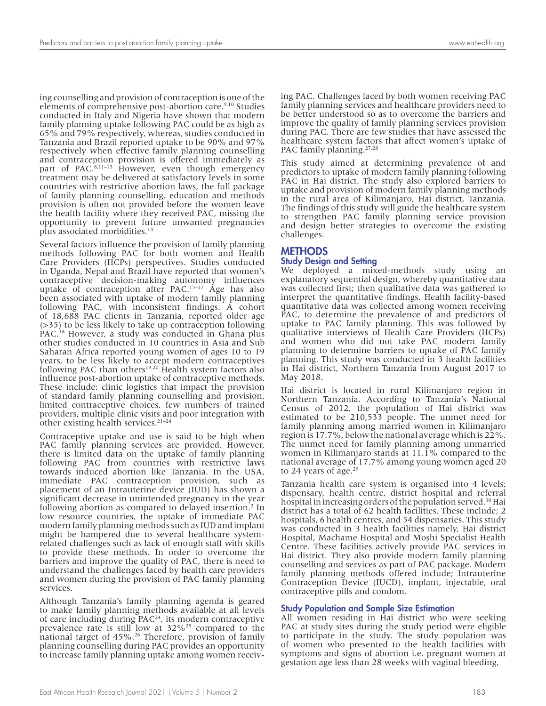ing counselling and provision of contraception is one of the elements of comprehensive post-abortion care.<sup>9,10</sup> Studies conducted in Italy and Nigeria have shown that modern family planning uptake following PAC could be as high as 65% and 79% respectively, whereas, studies conducted in Tanzania and Brazil reported uptake to be 90% and 97% respectively when effective family planning counselling and contraception provision is offered immediately as part of PAC.<sup>8,11–13</sup> However, even though emergency treatment may be delivered at satisfactory levels in some countries with restrictive abortion laws, the full package of family planning counselling, education and methods provision is often not provided before the women leave the health facility where they received PAC, missing the opportunity to prevent future unwanted pregnancies plus associated morbidities.14

Several factors influence the provision of family planning methods following PAC for both women and Health Care Providers (HCPs) perspectives. Studies conducted in Uganda, Nepal and Brazil have reported that women's contraceptive decision-making autonomy influences uptake of contraception after PAC.15–17 Age has also been associated with uptake of modern family planning following PAC, with inconsistent findings. A cohort of 18,688 PAC clients in Tanzania, reported older age (>35) to be less likely to take up contraception following PAC.<sup>18</sup> However, a study was conducted in Ghana plus other studies conducted in 10 countries in Asia and Sub Saharan Africa reported young women of ages 10 to 19 years, to be less likely to accept modern contraceptives following PAC than others<sup>19,20</sup> Health system factors also influence post-abortion uptake of contraceptive methods. These include: clinic logistics that impact the provision of standard family planning counselling and provision, limited contraceptive choices, few numbers of trained providers, multiple clinic visits and poor integration with other existing health services.<sup>21-24</sup>

Contraceptive uptake and use is said to be high when PAC family planning services are provided. However, there is limited data on the uptake of family planning following PAC from countries with restrictive laws towards induced abortion like Tanzania. In the USA, immediate PAC contraception provision, such as placement of an Intrauterine device (IUD) has shown a significant decrease in unintended pregnancy in the year following abortion as compared to delayed insertion.<sup>2</sup> In low resource countries, the uptake of immediate PAC modern family planning methods such as IUD and implant might be hampered due to several healthcare systemrelated challenges such as lack of enough staff with skills to provide these methods. In order to overcome the barriers and improve the quality of PAC, there is need to understand the challenges faced by health care providers and women during the provision of PAC family planning services.

Although Tanzania's family planning agenda is geared to make family planning methods available at all levels of care including during PAC24, its modern contraceptive prevalence rate is still low at 32%<sup>25</sup> compared to the national target of 45%.<sup>26</sup> Therefore, provision of family planning counselling during PAC provides an opportunity to increase family planning uptake among women receiving PAC. Challenges faced by both women receiving PAC family planning services and healthcare providers need to be better understood so as to overcome the barriers and improve the quality of family planning services provision during PAC. There are few studies that have assessed the healthcare system factors that affect women's uptake of PAC family planning.<sup>27,28</sup>

This study aimed at determining prevalence of and predictors to uptake of modern family planning following PAC in Hai district. The study also explored barriers to uptake and provision of modern family planning methods in the rural area of Kilimanjaro, Hai district, Tanzania. The findings of this study will guide the healthcare system to strengthen PAC family planning service provision and design better strategies to overcome the existing challenges.

# **METHODS**

### Study Design and Setting

We deployed a mixed-methods study using an explanatory sequential design, whereby quantitative data was collected first; then qualitative data was gathered to interpret the quantitative findings. Health facility-based quantitative data was collected among women receiving PAC, to determine the prevalence of and predictors of uptake to PAC family planning. This was followed by qualitative interviews of Health Care Providers (HCPs) and women who did not take PAC modern family planning to determine barriers to uptake of PAC family planning. This study was conducted in 3 health facilities in Hai district, Northern Tanzania from August 2017 to May 2018.

Hai district is located in rural Kilimanjaro region in Northern Tanzania. According to Tanzania's National Census of 2012, the population of Hai district was estimated to be 210,533 people. The unmet need for family planning among married women in Kilimanjaro region is 17.7%, below the national average which is 22%. The unmet need for family planning among unmarried women in Kilimanjaro stands at 11.1% compared to the national average of 17.7% among young women aged 20 to 24 years of age. $29$ 

Tanzania health care system is organised into 4 levels; dispensary, health centre, district hospital and referral hospital in increasing orders of the population served.<sup>30</sup> Hai district has a total of 62 health facilities. These include; 2 hospitals, 6 health centres, and 54 dispensaries. This study was conducted in 3 health facilities namely, Hai district Hospital, Machame Hospital and Moshi Specialist Health Centre. These facilities actively provide PAC services in Hai district. They also provide modern family planning counselling and services as part of PAC package. Modern family planning methods offered include; Intrauterine Contraception Device (IUCD), implant, injectable, oral contraceptive pills and condom.

#### Study Population and Sample Size Estimation

All women residing in Hai district who were seeking PAC at study sites during the study period were eligible to participate in the study. The study population was of women who presented to the health facilities with symptoms and signs of abortion i.e. pregnant women at gestation age less than 28 weeks with vaginal bleeding,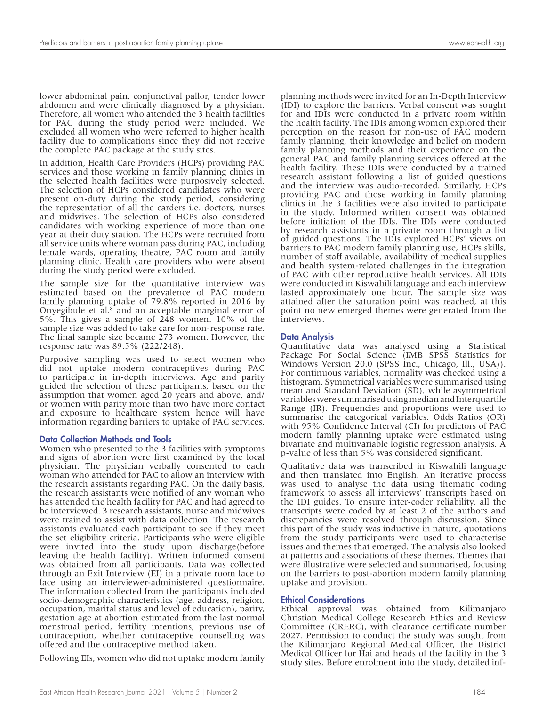lower abdominal pain, conjunctival pallor, tender lower abdomen and were clinically diagnosed by a physician. Therefore, all women who attended the 3 health facilities for PAC during the study period were included. We excluded all women who were referred to higher health facility due to complications since they did not receive the complete PAC package at the study sites.

In addition, Health Care Providers (HCPs) providing PAC services and those working in family planning clinics in the selected health facilities were purposively selected. The selection of HCPs considered candidates who were present on-duty during the study period, considering the representation of all the carders i.e. doctors, nurses and midwives. The selection of HCPs also considered candidates with working experience of more than one year at their duty station. The HCPs were recruited from all service units where woman pass during PAC, including female wards, operating theatre, PAC room and family planning clinic. Health care providers who were absent during the study period were excluded.

The sample size for the quantitative interview was estimated based on the prevalence of PAC modern family planning uptake of 79.8% reported in 2016 by Onyegibule et al.<sup>8</sup> and an acceptable marginal error of 5%. This gives a sample of 248 women. 10% of the sample size was added to take care for non-response rate. The final sample size became 273 women. However, the response rate was 89.5% (222/248).

Purposive sampling was used to select women who did not uptake modern contraceptives during PAC to participate in in-depth interviews. Age and parity guided the selection of these participants, based on the assumption that women aged 20 years and above, and/ or women with parity more than two have more contact and exposure to healthcare system hence will have information regarding barriers to uptake of PAC services.

#### Data Collection Methods and Tools

Women who presented to the 3 facilities with symptoms and signs of abortion were first examined by the local physician. The physician verbally consented to each woman who attended for PAC to allow an interview with the research assistants regarding PAC. On the daily basis, the research assistants were notified of any woman who has attended the health facility for PAC and had agreed to be interviewed. 3 research assistants, nurse and midwives were trained to assist with data collection. The research assistants evaluated each participant to see if they meet the set eligibility criteria. Participants who were eligible were invited into the study upon discharge(before leaving the health facility). Written informed consent was obtained from all participants. Data was collected through an Exit Interview (EI) in a private room face to face using an interviewer-administered questionnaire. The information collected from the participants included socio-demographic characteristics (age, address, religion, occupation, marital status and level of education), parity, gestation age at abortion estimated from the last normal menstrual period, fertility intentions, previous use of contraception, whether contraceptive counselling was offered and the contraceptive method taken.

Following EIs, women who did not uptake modern family

planning methods were invited for an In-Depth Interview (IDI) to explore the barriers. Verbal consent was sought for and IDIs were conducted in a private room within the health facility. The IDIs among women explored their perception on the reason for non-use of PAC modern family planning, their knowledge and belief on modern family planning methods and their experience on the general PAC and family planning services offered at the health facility. These IDIs were conducted by a trained research assistant following a list of guided questions and the interview was audio-recorded. Similarly, HCPs providing PAC and those working in family planning clinics in the 3 facilities were also invited to participate in the study. Informed written consent was obtained

before initiation of the IDIs. The IDIs were conducted by research assistants in a private room through a list of guided questions. The IDIs explored HCPs' views on barriers to PAC modern family planning use, HCPs skills, number of staff available, availability of medical supplies and health system-related challenges in the integration of PAC with other reproductive health services. All IDIs were conducted in Kiswahili language and each interview lasted approximately one hour. The sample size was attained after the saturation point was reached, at this point no new emerged themes were generated from the interviews.

#### Data Analysis

Quantitative data was analysed using a Statistical Package For Social Science (IMB SPSS Statistics for Windows Version 20.0 (SPSS Inc., Chicago, Ill., USA)). For continuous variables, normality was checked using a histogram. Symmetrical variables were summarised using mean and Standard Deviation (SD), while asymmetrical variables were summarised using median and Interquartile Range (IR). Frequencies and proportions were used to summarise the categorical variables. Odds Ratios (OR) with 95% Confidence Interval (CI) for predictors of PAC modern family planning uptake were estimated using bivariate and multivariable logistic regression analysis. A p-value of less than 5% was considered significant.

Qualitative data was transcribed in Kiswahili language and then translated into English. An iterative process was used to analyse the data using thematic coding framework to assess all interviews' transcripts based on the IDI guides. To ensure inter-coder reliability, all the transcripts were coded by at least 2 of the authors and discrepancies were resolved through discussion. Since this part of the study was inductive in nature, quotations from the study participants were used to characterise issues and themes that emerged. The analysis also looked at patterns and associations of these themes. Themes that were illustrative were selected and summarised, focusing on the barriers to post-abortion modern family planning uptake and provision.

#### Ethical Considerations

Ethical approval was obtained from Kilimanjaro Christian Medical College Research Ethics and Review Committee (CRERC), with clearance certificate number 2027. Permission to conduct the study was sought from the Kilimanjaro Regional Medical Officer, the District Medical Officer for Hai and heads of the facility in the 3 study sites. Before enrolment into the study, detailed inf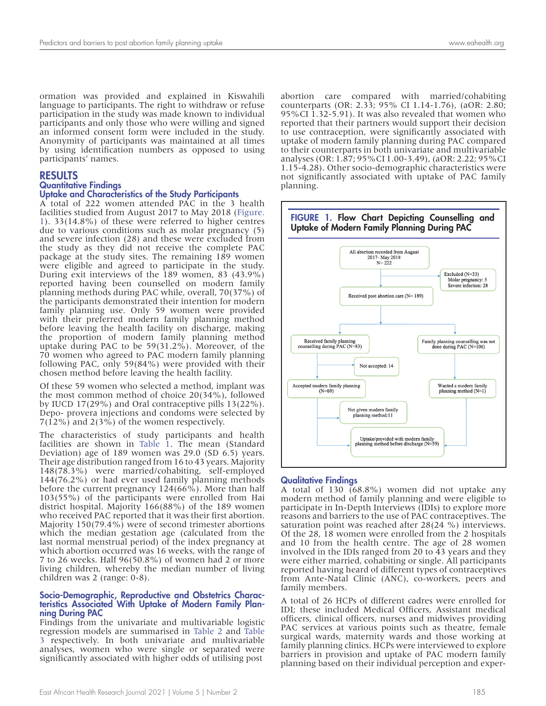ormation was provided and explained in Kiswahili language to participants. The right to withdraw or refuse participation in the study was made known to individual participants and only those who were willing and signed an informed consent form were included in the study. Anonymity of participants was maintained at all times by using identification numbers as opposed to using participants' names.

#### RESULTS

#### Quantitative Findings

#### Uptake and Characteristics of the Study Participants

A total of 222 women attended PAC in the 3 health facilities studied from August 2017 to May 2018 (Figure. 1). 33(14.8%) of these were referred to higher centres due to various conditions such as molar pregnancy (5) and severe infection (28) and these were excluded from the study as they did not receive the complete PAC package at the study sites. The remaining 189 women were eligible and agreed to participate in the study. During exit interviews of the 189 women, 83 (43.9%) reported having been counselled on modern family planning methods during PAC while, overall, 70(37%) of the participants demonstrated their intention for modern family planning use. Only 59 women were provided with their preferred modern family planning method before leaving the health facility on discharge, making the proportion of modern family planning method uptake during PAC to be 59(31.2%). Moreover, of the 70 women who agreed to PAC modern family planning following PAC, only 59(84%) were provided with their chosen method before leaving the health facility.

Of these 59 women who selected a method, implant was the most common method of choice 20(34%), followed by IUCD 17(29%) and Oral contraceptive pills 13(22%). Depo- provera injections and condoms were selected by 7(12%) and 2(3%) of the women respectively.

The characteristics of study participants and health facilities are shown in Table 1. The mean (Standard Deviation) age of 189 women was 29.0 (SD 6.5) years. Their age distribution ranged from 16 to 43 years. Majority 148(78.3%) were married/cohabiting, self-employed 144(76.2%) or had ever used family planning methods before the current pregnancy 124(66%). More than half 103(55%) of the participants were enrolled from Hai district hospital. Majority 166(88%) of the 189 women who received PAC reported that it was their first abortion. Majority 150(79.4%) were of second trimester abortions which the median gestation age (calculated from the last normal menstrual period) of the index pregnancy at which abortion occurred was 16 weeks, with the range of 7 to 26 weeks. Half 96(50.8%) of women had 2 or more living children, whereby the median number of living children was 2 (range: 0-8).

#### Socio-Demographic, Reproductive and Obstetrics Characteristics Associated With Uptake of Modern Family Planning During PAC

Findings from the univariate and multivariable logistic regression models are summarised in Table 2 and Table 3 respectively. In both univariate and multivariable analyses, women who were single or separated were significantly associated with higher odds of utilising post

abortion care compared with married/cohabiting counterparts (OR: 2.33; 95% CI 1.14-1.76), (aOR: 2.80; 95%CI 1.32-5.91). It was also revealed that women who reported that their partners would support their decision to use contraception, were significantly associated with uptake of modern family planning during PAC compared to their counterparts in both univariate and multivariable analyses (OR: 1.87; 95%CI 1.00-3.49), (aOR: 2.22; 95%CI 1.15-4.28). Other socio-demographic characteristics were not significantly associated with uptake of PAC family planning.



#### Qualitative Findings

A total of 130 (68.8%) women did not uptake any modern method of family planning and were eligible to participate in In-Depth Interviews (IDIs) to explore more reasons and barriers to the use of PAC contraceptives. The saturation point was reached after 28(24 %) interviews. Of the 28, 18 women were enrolled from the 2 hospitals and 10 from the health centre. The age of 28 women involved in the IDIs ranged from 20 to 43 years and they were either married, cohabiting or single. All participants reported having heard of different types of contraceptives from Ante-Natal Clinic (ANC), co-workers, peers and family members.

A total of 26 HCPs of different cadres were enrolled for IDI; these included Medical Officers, Assistant medical officers, clinical officers, nurses and midwives providing PAC services at various points such as theatre, female surgical wards, maternity wards and those working at family planning clinics. HCPs were interviewed to explore barriers in provision and uptake of PAC modern family planning based on their individual perception and exper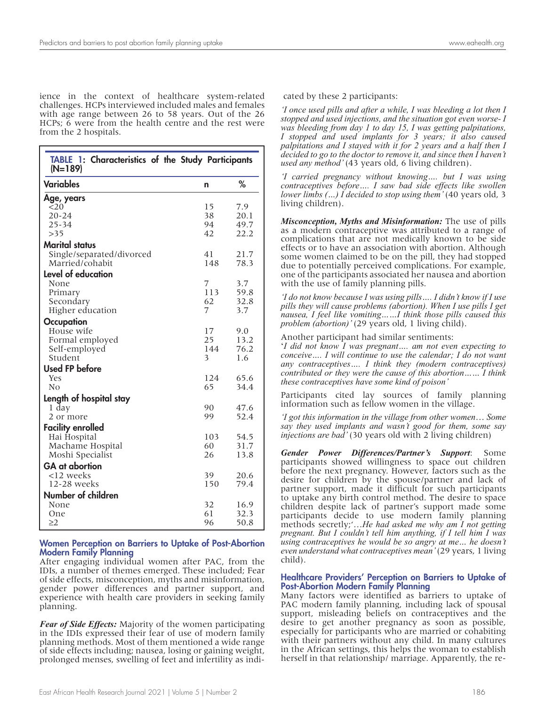ience in the context of healthcare system-related challenges. HCPs interviewed included males and females with age range between 26 to 58 years. Out of the 26 HCPs; 6 were from the health centre and the rest were from the 2 hospitals.

| TABLE 1: Characteristics of the Study Participants<br>$(N=189)$ |          |              |  |  |
|-----------------------------------------------------------------|----------|--------------|--|--|
| <b>Variables</b>                                                | n        | %            |  |  |
| Age, years                                                      |          |              |  |  |
| <20                                                             | 15       | 7.9          |  |  |
| $20 - 24$                                                       | 38       | 20.1         |  |  |
| $25 - 34$<br>>35                                                | 94<br>42 | 49.7<br>22.2 |  |  |
|                                                                 |          |              |  |  |
| <b>Marital status</b>                                           | 41       |              |  |  |
| Single/separated/divorced<br>Married/cohabit                    | 148      | 21.7<br>78.3 |  |  |
| <b>Level of education</b>                                       |          |              |  |  |
| None                                                            | 7        | 3.7          |  |  |
| Primary                                                         | 113      | 59.8         |  |  |
| Secondary                                                       | 62       | 32.8         |  |  |
| Higher education                                                | 7        | 3.7          |  |  |
| Occupation                                                      |          |              |  |  |
| House wife                                                      | 17       | 9.0          |  |  |
| Formal employed                                                 | 25       | 13.2         |  |  |
| Self-employed                                                   | 144      | 76.2         |  |  |
| Student                                                         | 3        | 1.6          |  |  |
| <b>Used FP before</b>                                           |          |              |  |  |
| <b>Yes</b>                                                      | 124      | 65.6         |  |  |
| N <sub>0</sub>                                                  | 65       | 34.4         |  |  |
| Length of hospital stay                                         |          |              |  |  |
| 1 day                                                           | 90       | 47.6         |  |  |
| 2 or more                                                       | 99       | 52.4         |  |  |
| <b>Facility enrolled</b>                                        |          |              |  |  |
| Hai Hospital                                                    | 103      | 54.5         |  |  |
| Machame Hospital                                                | 60       | 31.7         |  |  |
| Moshi Specialist                                                | 26       | 13.8         |  |  |
| <b>GA</b> at abortion                                           |          |              |  |  |
| <12 weeks                                                       | 39       | 20.6         |  |  |
| 12-28 weeks                                                     | 150      | 79.4         |  |  |
| Number of children                                              |          |              |  |  |
| None                                                            | 32       | 16.9         |  |  |
| One                                                             | 61       | 32.3         |  |  |
| $\geq$ 2                                                        | 96       | 50.8         |  |  |

#### Women Perception on Barriers to Uptake of Post-Abortion Modern Family Planning

After engaging individual women after PAC, from the IDIs, a number of themes emerged. These included; Fear of side effects, misconception, myths and misinformation, gender power differences and partner support, and experience with health care providers in seeking family planning.

*Fear of Side Effects:* Majority of the women participating in the IDIs expressed their fear of use of modern family planning methods. Most of them mentioned a wide range of side effects including; nausea, losing or gaining weight, prolonged menses, swelling of feet and infertility as indi-

*'I once used pills and after a while, I was bleeding a lot then I stopped and used injections, and the situation got even worse- I was bleeding from day 1 to day 15, I was getting palpitations, I stopped and used implants for 3 years; it also caused palpitations and I stayed with it for 2 years and a half then I decided to go to the doctor to remove it, and since then I haven't used any method'* (43 years old, 6 living children).

*'I carried pregnancy without knowing…. but I was using contraceptives before…. I saw bad side effects like swollen lower limbs (...) I decided to stop using them'* (40 years old, 3 living children).

*Misconception, Myths and Misinformation:* The use of pills as a modern contraceptive was attributed to a range of complications that are not medically known to be side effects or to have an association with abortion. Although some women claimed to be on the pill, they had stopped due to potentially perceived complications. For example, one of the participants associated her nausea and abortion with the use of family planning pills.

*'I do not know because I was using pills…. I didn't know if I use pills they will cause problems (abortion). When I use pills I get nausea, I feel like vomiting……I think those pills caused this problem (abortion)'* (29 years old, 1 living child).

Another participant had similar sentiments:

'*I did not know I was pregnant…. am not even expecting to conceive…. I will continue to use the calendar; I do not want any contraceptives…. I think they (modern contraceptives) contributed or they were the cause of this abortion…… I think these contraceptives have some kind of poison'*

Participants cited lay sources of family planning information such as fellow women in the village.

*'I got this information in the village from other women*… *Some say they used implants and wasn't good for them, some say injections are bad'* (30 years old with 2 living children)

*Gender Power Differences/Partner's Support*: Some participants showed willingness to space out children before the next pregnancy. However, factors such as the desire for children by the spouse/partner and lack of partner support, made it difficult for such participants to uptake any birth control method. The desire to space children despite lack of partner's support made some participants decide to use modern family planning methods secretly;'…*He had asked me why am I not getting pregnant. But I couldn't tell him anything, if I tell him I was using contraceptives he would be so angry at me… he doesn't even understand what contraceptives mean'* (29 years, 1 living child).

#### Healthcare Providers' Perception on Barriers to Uptake of Post-Abortion Modern Family Planning

Many factors were identified as barriers to uptake of PAC modern family planning, including lack of spousal support, misleading beliefs on contraceptives and the desire to get another pregnancy as soon as possible, especially for participants who are married or cohabiting with their partners without any child. In many cultures in the African settings, this helps the woman to establish herself in that relationship/ marriage. Apparently, the re-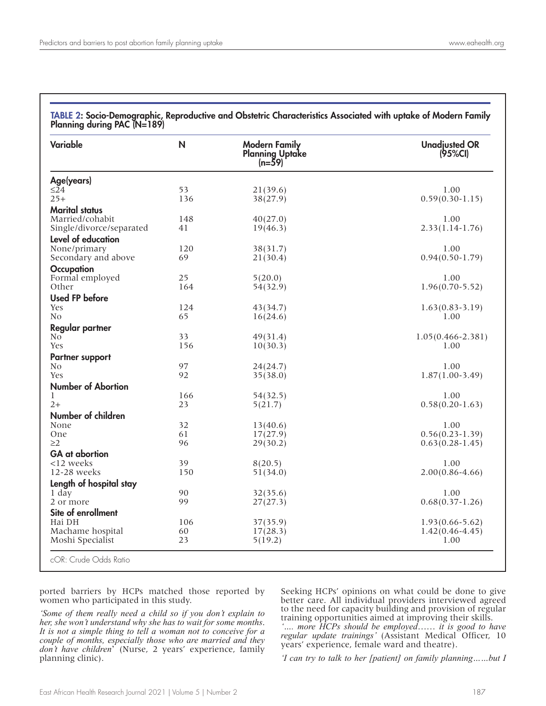| <b>Variable</b>                            | N         | <b>Modern Family</b><br><b>Planning Uptake</b><br>$(n=59)$ | <b>Unadjusted OR</b><br>(95%Cl) |
|--------------------------------------------|-----------|------------------------------------------------------------|---------------------------------|
| Age(years)                                 |           |                                                            |                                 |
| $\leq$ 24                                  | 53        | 21(39.6)                                                   | 1.00                            |
| $25+$                                      | 136       | 38(27.9)                                                   | $0.59(0.30-1.15)$               |
| <b>Marital status</b>                      |           |                                                            |                                 |
| Married/cohabit                            | 148<br>41 | 40(27.0)                                                   | 1.00<br>$2.33(1.14-1.76)$       |
| Single/divorce/separated                   |           | 19(46.3)                                                   |                                 |
| Level of education                         |           |                                                            |                                 |
| None/primary<br>Secondary and above        | 120<br>69 | 38(31.7)<br>21(30.4)                                       | 1.00<br>$0.94(0.50 - 1.79)$     |
|                                            |           |                                                            |                                 |
| <b>Occupation</b><br>Formal employed       | 25        | 5(20.0)                                                    | 1.00                            |
| Other                                      | 164       | 54(32.9)                                                   | $1.96(0.70 - 5.52)$             |
| <b>Used FP before</b>                      |           |                                                            |                                 |
| Yes                                        | 124       | 43(34.7)                                                   | $1.63(0.83-3.19)$               |
| N <sub>0</sub>                             | 65        | 16(24.6)                                                   | 1.00                            |
| Regular partner                            |           |                                                            |                                 |
| N <sub>o</sub>                             | 33        | 49(31.4)                                                   | $1.05(0.466 - 2.381)$           |
| Yes                                        | 156       | 10(30.3)                                                   | 1.00                            |
| <b>Partner support</b>                     |           |                                                            |                                 |
| N <sub>0</sub>                             | 97        | 24(24.7)                                                   | 1.00                            |
| Yes                                        | 92        | 35(38.0)                                                   | $1.87(1.00-3.49)$               |
| <b>Number of Abortion</b>                  |           |                                                            |                                 |
| 1                                          | 166       | 54(32.5)                                                   | 1.00                            |
| $2+$                                       | 23        | 5(21.7)                                                    | $0.58(0.20 - 1.63)$             |
| Number of children                         |           |                                                            |                                 |
| None                                       | 32        | 13(40.6)                                                   | 1.00                            |
| <b>One</b>                                 | 61        | 17(27.9)                                                   | $0.56(0.23 - 1.39)$             |
| $\geq$ 2                                   | 96        | 29(30.2)                                                   | $0.63(0.28-1.45)$               |
| <b>GA</b> at abortion                      |           |                                                            |                                 |
| <12 weeks                                  | 39<br>150 | 8(20.5)                                                    | 1.00                            |
| 12-28 weeks                                |           | 51(34.0)                                                   | $2.00(0.86 - 4.66)$             |
| Length of hospital stay<br>$1 \text{ day}$ | 90        |                                                            | 1.00                            |
| 2 or more                                  | 99        | 32(35.6)<br>27(27.3)                                       | $0.68(0.37 - 1.26)$             |
| Site of enrollment                         |           |                                                            |                                 |
| Hai DH                                     | 106       | 37(35.9)                                                   | $1.93(0.66 - 5.62)$             |
| Machame hospital                           | 60        | 17(28.3)                                                   | $1.42(0.46 - 4.45)$             |
| Moshi Specialist                           | 23        | 5(19.2)                                                    | 1.00                            |

TABLE 2: Socio-Demographic, Reproductive and Obstetric Characteristics Associated with uptake of Modern Family Planning during PAC (N=189)

ported barriers by HCPs matched those reported by women who participated in this study.

*'Some of them really need a child so if you don't explain to her, she won't understand why she has to wait for some months*. *It is not a simple thing to tell a woman not to conceive for a couple of months, especially those who are married and they don't have children*' (Nurse, 2 years' experience, family planning clinic).

Seeking HCPs' opinions on what could be done to give better care. All individual providers interviewed agreed to the need for capacity building and provision of regular training opportunities aimed at improving their skills.

*'…. more HCPs should be employed*…… *it is good to have regular update trainings'* (Assistant Medical Officer, 10 years' experience, female ward and theatre).

*'I can try to talk to her [patient] on family planning……but I*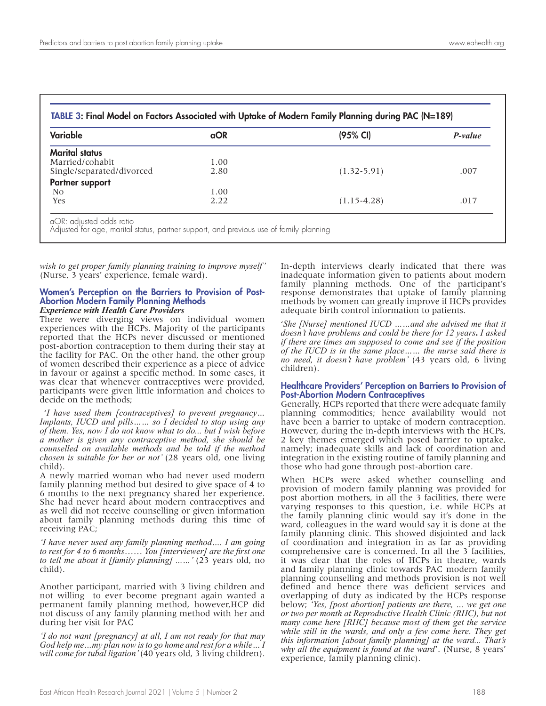| <b>Variable</b>           | <b>aOR</b> | (95% CI)        | P-value |
|---------------------------|------------|-----------------|---------|
| <b>Marital status</b>     |            |                 |         |
| Married/cohabit           | 1.00       |                 |         |
| Single/separated/divorced | 2.80       | $(1.32 - 5.91)$ | .007    |
| Partner support           |            |                 |         |
| No.                       | 1.00       |                 |         |
| Yes                       | 2.22       | $(1.15 - 4.28)$ | .017    |

*wish to get proper family planning training to improve myself'*  (Nurse, 3 years' experience, female ward).

#### Women's Perception on the Barriers to Provision of Post-Abortion Modern Family Planning Methods *Experience with Health Care Providers*

There were diverging views on individual women experiences with the HCPs. Majority of the participants reported that the HCPs never discussed or mentioned post-abortion contraception to them during their stay at the facility for PAC. On the other hand, the other group of women described their experience as a piece of advice in favour or against a specific method. In some cases, it was clear that whenever contraceptives were provided, participants were given little information and choices to decide on the methods;

 '*I have used them [contraceptives] to prevent pregnancy… Implants, IUCD and pills…… so I decided to stop using any of them. Yes, now I do not know what to do... but I wish before a mother is given any contraceptive method, she should be counselled on available methods and be told if the method chosen is suitable for her or not'* (28 years old, one living child).

A newly married woman who had never used modern family planning method but desired to give space of 4 to 6 months to the next pregnancy shared her experience. She had never heard about modern contraceptives and as well did not receive counselling or given information about family planning methods during this time of receiving PAC;

*'I have never used any family planning method…. I am going to rest for 4 to 6 months*…… *You [interviewer] are the first one to tell me about it [family planning] ...…'* (23 years old, no child).

Another participant, married with 3 living children and not willing to ever become pregnant again wanted a permanent family planning method, however,HCP did not discuss of any family planning method with her and during her visit for PAC

*'I do not want [pregnancy] at all, I am not ready for that may God help me…my plan now is to go home and rest for a while… I will come for tubal ligation'* (40 years old, 3 living children).

In-depth interviews clearly indicated that there was inadequate information given to patients about modern family planning methods. One of the participant's response demonstrates that uptake of family planning methods by women can greatly improve if HCPs provides adequate birth control information to patients.

'*She [Nurse] mentioned IUCD ……and she advised me that it doesn't have problems and could be there for 12 years***.** *I asked if there are times am supposed to come and see if the position of the IUCD is in the same place…… the nurse said there is no need, it doesn't have problem'* (43 years old, 6 living children).

#### Healthcare Providers' Perception on Barriers to Provision of Post-Abortion Modern Contraceptives

Generally, HCPs reported that there were adequate family planning commodities; hence availability would not have been a barrier to uptake of modern contraception. However, during the in-depth interviews with the HCPs, 2 key themes emerged which posed barrier to uptake, namely; inadequate skills and lack of coordination and integration in the existing routine of family planning and those who had gone through post-abortion care.

When HCPs were asked whether counselling and provision of modern family planning was provided for post abortion mothers, in all the 3 facilities, there were varying responses to this question, i.e. while HCPs at the family planning clinic would say it's done in the ward, colleagues in the ward would say it is done at the family planning clinic. This showed disjointed and lack of coordination and integration in as far as providing comprehensive care is concerned. In all the 3 facilities, it was clear that the roles of HCPs in theatre, wards and family planning clinic towards PAC modern family planning counselling and methods provision is not well defined and hence there was deficient services and overlapping of duty as indicated by the HCPs response below; *'Yes, [post abortion] patients are there, … we get one or two per month at Reproductive Health Clinic (RHC), but not many come here [RHC] because most of them get the service while still in the wards, and only a few come here*. *They get this information [about family planning] at the ward... That's why all the equipment is found at the ward*'. (Nurse, 8 years' experience, family planning clinic).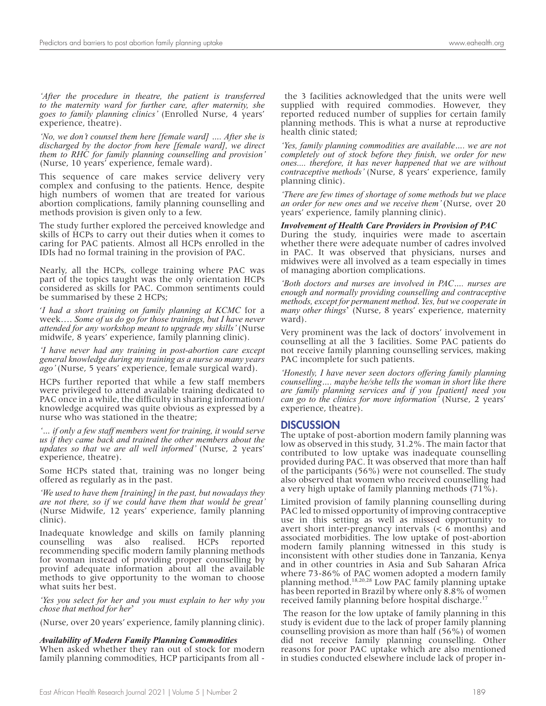*'After the procedure in theatre, the patient is transferred to the maternity ward for further care, after maternity, she goes to family planning clinics'* (Enrolled Nurse, 4 years' experience, theatre).

*'No, we don't counsel them here [female ward] .... After she is discharged by the doctor from here [female ward], we direct them to RHC for family planning counselling and provision'*  (Nurse, 10 years' experience, female ward).

This sequence of care makes service delivery very complex and confusing to the patients. Hence, despite high numbers of women that are treated for various abortion complications, family planning counselling and methods provision is given only to a few.

The study further explored the perceived knowledge and skills of HCPs to carry out their duties when it comes to caring for PAC patients. Almost all HCPs enrolled in the IDIs had no formal training in the provision of PAC.

Nearly, all the HCPs, college training where PAC was part of the topics taught was the only orientation HCPs considered as skills for PAC. Common sentiments could be summarised by these 2 HCPs;

'*I had a short training on family planning at KCMC* for a week…. *Some of us do go for those trainings, but I have never attended for any workshop meant to upgrade my skills'* (Nurse midwife, 8 years' experience, family planning clinic).

*'I have never had any training in post-abortion care except general knowledge during my training as a nurse so many years ago'* (Nurse, 5 years' experience, female surgical ward).

HCPs further reported that while a few staff members were privileged to attend available training dedicated to PAC once in a while, the difficulty in sharing information/ knowledge acquired was quite obvious as expressed by a nurse who was stationed in the theatre;

*'… if only a few staff members went for training, it would serve us if they came back and trained the other members about the updates so that we are all well informed'* (Nurse, 2 years' experience, theatre).

Some HCPs stated that, training was no longer being offered as regularly as in the past.

*'We used to have them [training] in the past, but nowadays they are not there, so if we could have them that would be great'*  (Nurse Midwife, 12 years' experience, family planning clinic).

Inadequate knowledge and skills on family planning counselling was also realised. HCPs reported recommending specific modern family planning methods for woman instead of providing proper counselling by provinf adequate information about all the available methods to give opportunity to the woman to choose what suits her best.

*'Yes you select for her and you must explain to her why you chose that method for her*'

(Nurse, over 20 years' experience, family planning clinic).

#### *Availability of Modern Family Planning Commodities*

When asked whether they ran out of stock for modern family planning commodities, HCP participants from all -

 the 3 facilities acknowledged that the units were well supplied with required commodies. However, they reported reduced number of supplies for certain family planning methods. This is what a nurse at reproductive health clinic stated;

*'Yes, family planning commodities are available…. we are not completely out of stock before they finish, we order for new ones.... therefore, it has never happened that we are without contraceptive methods'* (Nurse, 8 years' experience, family planning clinic).

*'There are few times of shortage of some methods but we place an order for new ones and we receive them'* (Nurse, over 20 years' experience, family planning clinic).

#### *Involvement of Health Care Providers in Provision of PAC*

During the study, inquiries were made to ascertain whether there were adequate number of cadres involved in PAC. It was observed that physicians, nurses and midwives were all involved as a team especially in times of managing abortion complications.

*'Both doctors and nurses are involved in PAC…. nurses are enough and normally providing counselling and contraceptive methods, except for permanent method*. *Yes, but we cooperate in many other things*' (Nurse, 8 years' experience, maternity ward).

Very prominent was the lack of doctors' involvement in counselling at all the 3 facilities. Some PAC patients do not receive family planning counselling services, making PAC incomplete for such patients.

*'Honestly, I have never seen doctors offering family planning counselling…. maybe he/she tells the woman in short like there are family planning services and if you [patient] need you can go to the clinics for more information'* (Nurse, 2 years' experience, theatre).

#### **DISCUSSION**

The uptake of post-abortion modern family planning was low as observed in this study, 31.2%. The main factor that contributed to low uptake was inadequate counselling provided during PAC. It was observed that more than half of the participants (56%) were not counselled. The study also observed that women who received counselling had a very high uptake of family planning methods (71%).

Limited provision of family planning counselling during PAC led to missed opportunity of improving contraceptive use in this setting as well as missed opportunity to avert short inter-pregnancy intervals (< 6 months) and associated morbidities. The low uptake of post-abortion modern family planning witnessed in this study is inconsistent with other studies done in Tanzania, Kenya and in other countries in Asia and Sub Saharan Africa where 73-86% of PAC women adopted a modern family planning method.18,20,28 Low PAC family planning uptake has been reported in Brazil by where only 8.8% of women received family planning before hospital discharge.17

 The reason for the low uptake of family planning in this study is evident due to the lack of proper family planning counselling provision as more than half (56%) of women did not receive family planning counselling. Other reasons for poor PAC uptake which are also mentioned in studies conducted elsewhere include lack of proper in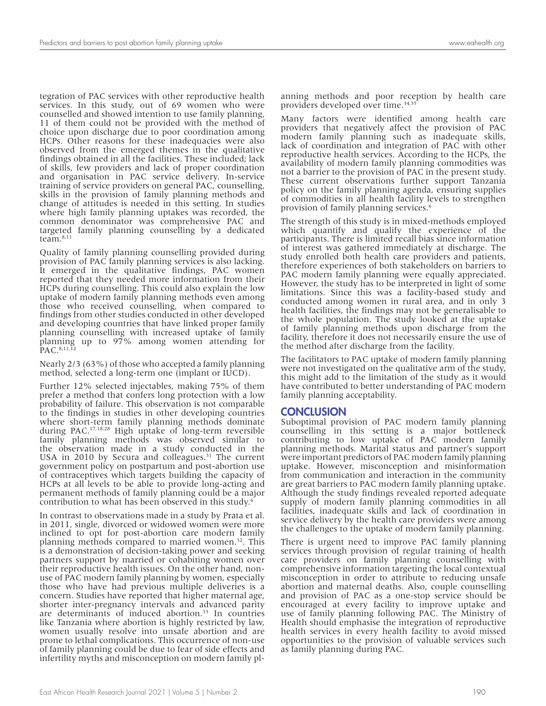tegration of PAC services with other reproductive health services. In this study, out of 69 women who were counselled and showed intention to use family planning, 11 of them could not be provided with the method of choice upon discharge due to poor coordination among HCPs. Other reasons for these inadequacies were also observed from the emerged themes in the qualitative findings obtained in all the facilities. These included; lack of skills, few providers and lack of proper coordination and organisation in PAC service delivery. In-service training of service providers on general PAC, counselling, skills in the provision of family planning methods and change of attitudes is needed in this setting. In studies where high family planning uptakes was recorded, the common denominator was comprehensive PAC and targeted family planning counselling by a dedicated team.8,11

Quality of family planning counselling provided during provision of PAC family planning services is also lacking. It emerged in the qualitative findings, PAC women reported that they needed more information from their HCPs during counselling. This could also explain the low uptake of modern family planning methods even among those who received counselling, when compared to findings from other studies conducted in other developed and developing countries that have linked proper family planning counselling with increased uptake of family planning up to 97% among women attending for PAC.8,11,12

Nearly 2/3 (63%) of those who accepted a family planning method, selected a long-term one (implant or IUCD).

Further 12% selected injectables, making 75% of them prefer a method that confers long protection with a low probability of failure. This observation is not comparable to the findings in studies in other developing countries where short-term family planning methods dominate during PAC.17,18,28 High uptake of long-term reversible family planning methods was observed similar to the observation made in a study conducted in the USA in 2010 by Secura and colleagues.<sup>31</sup> The current government policy on postpartum and post-abortion use of contraceptives which targets building the capacity of HCPs at all levels to be able to provide long-acting and permanent methods of family planning could be a major contribution to what has been observed in this study.6

In contrast to observations made in a study by Prata et al. in 2011, single, divorced or widowed women were more inclined to opt for post-abortion care modern family planning methods compared to married women.<sup>32</sup>. This is a demonstration of decision-taking power and seeking partners support by married or cohabiting women over their reproductive health issues. On the other hand, nonuse of PAC modern family planning by women, especially those who have had previous multiple deliveries is a concern. Studies have reported that higher maternal age, shorter inter-pregnancy intervals and advanced parity are determinants of induced abortion.<sup>33</sup> In countries like Tanzania where abortion is highly restricted by law, women usually resolve into unsafe abortion and are prone to lethal complications. This occurrence of non-use of family planning could be due to fear of side effects and infertility myths and misconception on modern family planning methods and poor reception by health care providers developed over time.<sup>34,35</sup>

Many factors were identified among health care providers that negatively affect the provision of PAC modern family planning such as inadequate skills, lack of coordination and integration of PAC with other reproductive health services. According to the HCPs, the availability of modern family planning commodities was not a barrier to the provision of PAC in the present study. These current observations further support Tanzania policy on the family planning agenda, ensuring supplies of commodities in all health facility levels to strengthen provision of family planning services.6

The strength of this study is in mixed-methods employed which quantify and qualify the experience of the participants. There is limited recall bias since information of interest was gathered immediately at discharge. The study enrolled both health care providers and patients, therefore experiences of both stakeholders on barriers to PAC modern family planning were equally appreciated. However, the study has to be interpreted in light of some limitations. Since this was a facility-based study and conducted among women in rural area, and in only 3 health facilities, the findings may not be generalisable to the whole population. The study looked at the uptake of family planning methods upon discharge from the facility, therefore it does not necessarily ensure the use of the method after discharge from the facility.

The facilitators to PAC uptake of modern family planning were not investigated on the qualitative arm of the study, this might add to the limitation of the study as it would have contributed to better understanding of PAC modern family planning acceptability.

#### **CONCLUSION**

Suboptimal provision of PAC modern family planning counselling in this setting is a major bottleneck contributing to low uptake of PAC modern family planning methods. Marital status and partner's support were important predictors of PAC modern family planning uptake. However, misconception and misinformation from communication and interaction in the community are great barriers to PAC modern family planning uptake. Although the study findings revealed reported adequate supply of modern family planning commodities in all facilities, inadequate skills and lack of coordination in service delivery by the health care providers were among the challenges to the uptake of modern family planning.

There is urgent need to improve PAC family planning services through provision of regular training of health care providers on family planning counselling with comprehensive information targeting the local contextual misconception in order to attribute to reducing unsafe abortion and maternal deaths. Also, couple counselling and provision of PAC as a one-stop service should be encouraged at every facility to improve uptake and use of family planning following PAC. The Ministry of Health should emphasise the integration of reproductive health services in every health facility to avoid missed opportunities to the provision of valuable services such as family planning during PAC.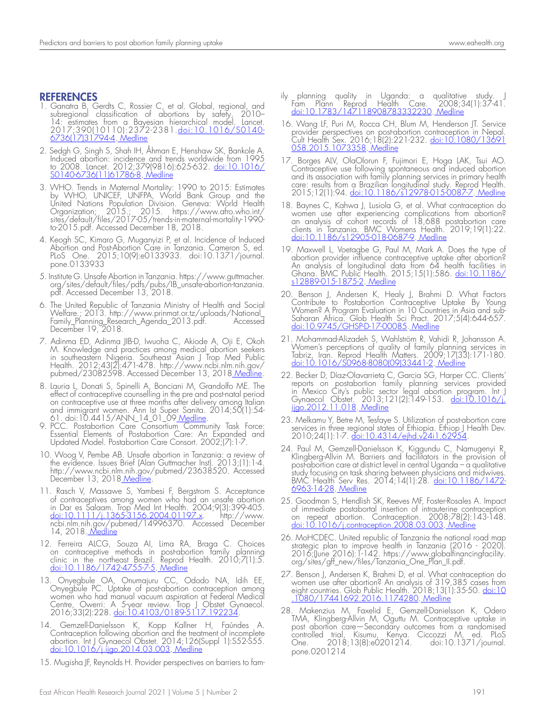## REFERENCES

- 1. Ganatra B, Gerdts C, Rossier C, et al. Global, regional, and subregional classification of abortions by safety, 2010– 14: estimates from a Bayesian hierarchical model. Lancet. 2017;390(10110):2372-2381.<u>doi:10.1016/S0140-</u> 6736(17)31794-4. Medline
- 2. Sedgh G, Singh S, Shah IH, Åhman E, Henshaw SK, Bankole A. Induced abortion: incidence and trends worldwide from 1995 to 2008. Lancet. 2012;379(9816):625-632. doi:10.1016/ S0140-6736(11)61786-8. Medline
- 3. WHO. Trends in Maternal Mortality: 1990 to 2015: Estimates by WHO, UNICEF, UNFPA, World Bank Group and the United Nations Population Division. Geneva: World Health Organization; 2015.; 2015. https://www.afro.who.int/ sites/default/files/2017-05/trends-in-maternal-mortality-1990 to-2015.pdf. Accessed December 18, 2018.
- 4. Keogh SC, Kimaro G, Muganyizi P, et al. Incidence of Induced Abortion and Post-Abortion Care in Tanzania. Cameron S, ed. PLoS One. 2015;10(9):e0133933. doi:10.1371/journal. pone.0133933
- 5. Institute G. Unsafe Abortion in Tanzania. https://www.guttmacher. org/sites/default/files/pdfs/pubs/IB\_unsafe-abortion-tanzania. pdf. Accessed December 13, 2018.
- 6. The United Republic of Tanzania Ministry of Health and Social Welfare.; 2013. http://www.prinmat.or.tz/uploads/National\_ Family\_Planning\_Research\_Agenda\_2013.pdf. Accessed December 19, 2018.
- 7. Adinma ED, Adinma JIB-D, Iwuoha C, Akiode A, Oji E, Okoh M. Knowledge and practices among medical abortion seekers in southeastern Nigeria. Southeast Asian J Trop Med Public Health. 2012;43(2):471-478. http://www.ncbi.nlm.nih.gov/ pubmed/23082598. Accessed December 13, 2018 Medline.
- 8. Lauria L, Donati S, Spinelli A, Bonciani M, Grandolfo ME. The effect of contraceptive counselling in the pre and post-natal period on contraceptive use at three months after delivery among Italian and immigrant women. Ann Ist Super Sanita. 2014;50(1):54- 61. doi:10.4415/ANN\_14\_01\_09<u>.Medline</u>.
- 9. PCC. Postabortion Care Consortium Community Task Force: Essential Elements of Postabortion Care: An Expanded and Updated Model. Postabortion Care Consort. 2002;(7):1-7.
- 10. Woog V, Pembe AB. Unsafe abortion in Tanzania: a review of the evidence. Issues Brief (Alan Guttmacher Inst). 2013;(1):1-4. http://www.ncbi.nlm.nih.gov/pubmed/23638520. Accessed December 13, 2018 Medline
- 11. Rasch V, Massawe S, Yambesi F, Bergstrom S. Acceptance of contraceptives among women who had an unsafe abortion in Dar es Salaam. Trop Med Int Health. 2004;9(3):399-405. <u>doi:10.1111/j.1365-3156.2004.01197.x</u>. http://www. ncbi.nlm.nih.gov/pubmed/14996370. Accessed December 14, 2018. <u>Medline</u>
- 12. Ferreira ALCG, Souza AI, Lima RA, Braga C. Choices on contraceptive methods in post-abortion family planning clinic in the northeast Brazil. Reprod Health. 2010;7(1):5. <u>doi:10.1186/1742-4755-7-5. Medline</u>
- 13. Onyegbule OA, Onumajuru CC, Ododo NA, Idih EE, Onyegbule PC. Uptake of post-abortion contraception among women who had manual vacuum aspiration at Federal Medical Centre, Owerri: A 5-year review. Trop J Obstet Gynaecol. 2016;33(2):228. doi:10.4103/0189-5117.192234.
- 14. Gemzell-Danielsson K, Kopp Kallner H, Faúndes A. Contraception following abortion and the treatment of incomplete abortion. Int J Gynaecol Obstet. 2014;126(Suppl 1):S52-S55. doi:10.1016/j.ijgo.2014.03.003. Medline
- 15. Mugisha JF, Reynolds H. Provider perspectives on barriers to fam-
- ily planning quality in Uganda: a qualitative study. J Fam Plann Reprod Health Care. 2008;34(1):37-41. doi:10.1783/147118908783332230. Medline
- 16. Wang LF, Puri M, Rocca CH, Blum M, Henderson JT. Service provider perspectives on post-abortion contraception in Nepal. Cult Health Sex. 2016;18(2):221-232. doi:10.1080/13691 <u>058.2015.1073358. Medline</u>
- 17. Borges ALV, OlaOlorun F, Fujimori E, Hoga LAK, Tsui AO. Contraceptive use following spontaneous and induced abortion and its association with family planning services in primary health care: results from a Brazilian longitudinal study. Reprod Health. 2015;12(1):94. doi:10.1186/s12978-015-0087-7. Medline
- 18. Baynes C, Kahwa J, Lusiola G, et al. What contraception do women use after experiencing complications from abortion? an analysis of cohort records of 18,688 postabortion care clients in Tanzania. BMC Womens Health. 2019;19(1):22. doi:10.1186/s12905-018-0687-9. Medline
- 19. Maxwell L, Voetagbe G, Paul M, Mark A. Does the type of abortion provider influence contraceptive uptake after abortion? An analysis of longitudinal data from 64 health facilities in Ghana. BMC Public Health. 2015;15(1):586. doi:10.1186/ s12889-015-1875-2. Medline
- 20. Benson J, Andersen K, Healy J, Brahmi D. What Factors Contribute to Postabortion Contraceptive Uptake By Young Women? A Program Evaluation in 10 Countries in Asia and sub-Saharan Africa. Glob Health Sci Pract. 2017;5(4):644-657. doi:10.9745/GHSP-D-17-00085. Medline
- 21. Mohammad-Alizadeh S, Wahlström R, Vahidi R, Johansson A. Women's perceptions of quality of family planning services in Tabriz, Iran. Reprod Health Matters. 2009;17(33):171-180. doi:10.1016/S0968-8080(09)33441-2. Medline
- 22. Becker D, Díaz-Olavarrieta C, Garcia SG, Harper CC. Clients' reports on postabortion family planning services provided in Mexico City's public sector legal abortion program. Int J Gynaecol Obstet. 2013;121(2):149-153. <u>doi:10.1016/j.</u> <u>ijgo.2012.11.018</u>. <u>Medline</u>
- 23. Melkamu Y, Betre M, Tesfaye S. Utilization of post-abortion care services in three regional states of Ethiopia. Ethiop J Health Dev. 2010;24(1):1-7. doi:10.4314/ejhd.v24i1.62954.
- 24. Paul M, Gemzell-Danielsson K, Kiggundu C, Namugenyi R Klingberg-Allvin M. Barriers and facilitators in the provision of post-abortion care at district level in central Uganda – a qualitative study focusing on task sharing between physicians and midwives. BMC Health Serv Res. 2014;14(1):28. <u>doi:10.1186/1472</u>-6963-14-28. Medline
- 25. Goodman S, Hendlish SK, Reeves MF, Foster-Rosales A. Impact of immediate postabortal insertion of intrauterine contraception on repeat abortion. Contraception. 2008;78(2):143-148.<br><u>doi:10.1016/j.contraception.2008.03.003. Medline</u>
- 26. MoHCDEC. United republic of Tanzania the national road map strategic plan to improve health in Tanzania (2016 - 2020). 2016;(June 2016):1-142. https://www.globalfinancingfacility. org/sites/gff\_new/files/Tanzania\_One\_Plan\_II.pdf.
- 27. Benson J, Andersen K, Brahmi D, et al. What contraception do women use after abortion? An analysis of 319,385 cases from eight countries. Glob Public Health. 2018;13(1):35-50. <u>doi:10</u> .1080/17441692.2016.1174280. Medline
- 28. Makenzius M, Faxelid E, Gemzell-Danielsson K, Odero TMA, Klingberg-Allvin M, Oguttu M. Contraceptive uptake in post abortion care—Secondary outcomes from a randomised controlled trial, Kisumu, Kenya. Ciccozzi M, ed. PLoS One. 2018;13(8):e0201214. doi:10.1371/journal. pone.0201214